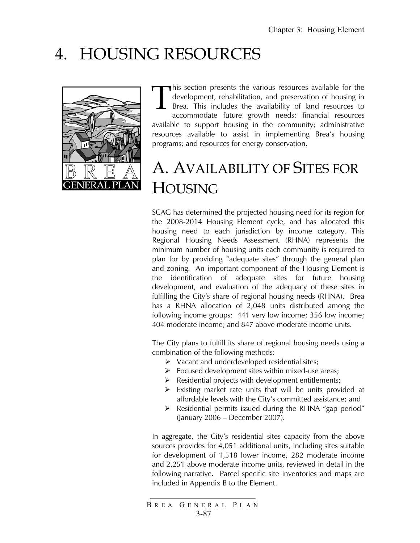# 4. HOUSING RESOURCES



his section presents the various resources available for the development, rehabilitation, and preservation of housing in Brea. This includes the availability of land resources to accommodate future growth needs; financial resources available to support housing in the community; administrative resources available to assist in implementing Brea's housing programs; and resources for energy conservation. T

# A. AVAILABILITY OF SITES FOR HOUSING

SCAG has determined the projected housing need for its region for the 2008-2014 Housing Element cycle, and has allocated this housing need to each jurisdiction by income category. This Regional Housing Needs Assessment (RHNA) represents the minimum number of housing units each community is required to plan for by providing "adequate sites" through the general plan and zoning. An important component of the Housing Element is the identification of adequate sites for future housing development, and evaluation of the adequacy of these sites in fulfilling the City's share of regional housing needs (RHNA). Brea has a RHNA allocation of 2,048 units distributed among the following income groups: 441 very low income; 356 low income; 404 moderate income; and 847 above moderate income units.

The City plans to fulfill its share of regional housing needs using a combination of the following methods:

- ¾ Vacant and underdeveloped residential sites;
- $\triangleright$  Focused development sites within mixed-use areas;
- $\triangleright$  Residential projects with development entitlements;
- $\triangleright$  Existing market rate units that will be units provided at affordable levels with the City's committed assistance; and
- $\triangleright$  Residential permits issued during the RHNA "gap period" (January 2006 – December 2007).

In aggregate, the City's residential sites capacity from the above sources provides for 4,051 additional units, including sites suitable for development of 1,518 lower income, 282 moderate income and 2,251 above moderate income units, reviewed in detail in the following narrative. Parcel specific site inventories and maps are included in Appendix B to the Element.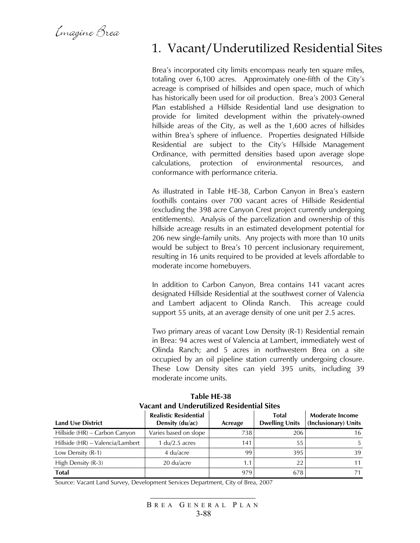Emagine Brea

### 1. Vacant/Underutilized Residential Sites

Brea's incorporated city limits encompass nearly ten square miles, totaling over 6,100 acres. Approximately one-fifth of the City's acreage is comprised of hillsides and open space, much of which has historically been used for oil production. Brea's 2003 General Plan established a Hillside Residential land use designation to provide for limited development within the privately-owned hillside areas of the City, as well as the 1,600 acres of hillsides within Brea's sphere of influence. Properties designated Hillside Residential are subject to the City's Hillside Management Ordinance, with permitted densities based upon average slope calculations, protection of environmental resources, and conformance with performance criteria.

As illustrated in Table HE-38, Carbon Canyon in Brea's eastern foothills contains over 700 vacant acres of Hillside Residential (excluding the 398 acre Canyon Crest project currently undergoing entitlements). Analysis of the parcelization and ownership of this hillside acreage results in an estimated development potential for 206 new single-family units. Any projects with more than 10 units would be subject to Brea's 10 percent inclusionary requirement, resulting in 16 units required to be provided at levels affordable to moderate income homebuyers.

In addition to Carbon Canyon, Brea contains 141 vacant acres designated Hillside Residential at the southwest corner of Valencia and Lambert adjacent to Olinda Ranch. This acreage could support 55 units, at an average density of one unit per 2.5 acres.

Two primary areas of vacant Low Density (R-1) Residential remain in Brea: 94 acres west of Valencia at Lambert, immediately west of Olinda Ranch; and 5 acres in northwestern Brea on a site occupied by an oil pipeline station currently undergoing closure. These Low Density sites can yield 395 units, including 39 moderate income units.

| VALAIIL AIIU UNUELUUNZEU NESIUENIJAI JILES |                                                 |         |                                       |                                                |  |  |  |  |  |
|--------------------------------------------|-------------------------------------------------|---------|---------------------------------------|------------------------------------------------|--|--|--|--|--|
| <b>Land Use District</b>                   | <b>Realistic Residential</b><br>Density (du/ac) | Acreage | <b>Total</b><br><b>Dwelling Units</b> | <b>Moderate Income</b><br>(Inclusionary) Units |  |  |  |  |  |
| Hillside (HR) – Carbon Canyon              | Varies based on slope                           | 738     | 206                                   | 16                                             |  |  |  |  |  |
| Hillside (HR) – Valencia/Lambert           | 1 $du/2.5$ acres                                | 141     | 55                                    |                                                |  |  |  |  |  |
| Low Density (R-1)                          | 4 du/acre                                       | 99      | 395                                   | 39                                             |  |  |  |  |  |
| High Density (R-3)                         | 20 du/acre                                      | 1.1     | 22                                    |                                                |  |  |  |  |  |
| <b>Total</b>                               |                                                 | 979     | 678                                   |                                                |  |  |  |  |  |

 **Table HE-38 Vacant and Underutilized Residential Sites** 

Source: Vacant Land Survey, Development Services Department, City of Brea, 2007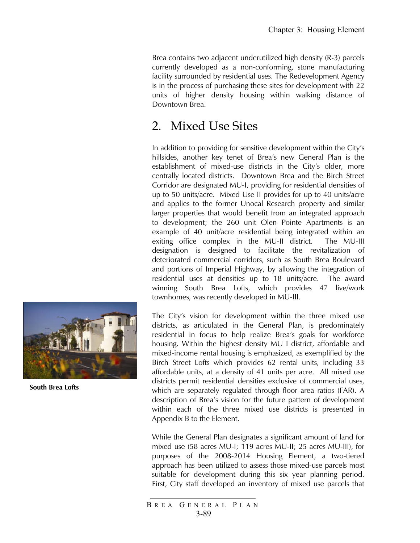Brea contains two adjacent underutilized high density (R-3) parcels currently developed as a non-conforming, stone manufacturing facility surrounded by residential uses. The Redevelopment Agency is in the process of purchasing these sites for development with 22 units of higher density housing within walking distance of Downtown Brea.

# 2. Mixed Use Sites

In addition to providing for sensitive development within the City's hillsides, another key tenet of Brea's new General Plan is the establishment of mixed-use districts in the City's older, more centrally located districts. Downtown Brea and the Birch Street Corridor are designated MU-I, providing for residential densities of up to 50 units/acre. Mixed Use II provides for up to 40 units/acre and applies to the former Unocal Research property and similar larger properties that would benefit from an integrated approach to development; the 260 unit Olen Pointe Apartments is an example of 40 unit/acre residential being integrated within an exiting office complex in the MU-II district. The MU-III designation is designed to facilitate the revitalization of deteriorated commercial corridors, such as South Brea Boulevard and portions of Imperial Highway, by allowing the integration of residential uses at densities up to 18 units/acre. The award winning South Brea Lofts, which provides 47 live/work townhomes, was recently developed in MU-III.

The City's vision for development within the three mixed use districts, as articulated in the General Plan, is predominately residential in focus to help realize Brea's goals for workforce housing. Within the highest density MU I district, affordable and mixed-income rental housing is emphasized, as exemplified by the Birch Street Lofts which provides 62 rental units, including 33 affordable units, at a density of 41 units per acre. All mixed use districts permit residential densities exclusive of commercial uses, which are separately regulated through floor area ratios (FAR). A description of Brea's vision for the future pattern of development within each of the three mixed use districts is presented in Appendix B to the Element.

While the General Plan designates a significant amount of land for mixed use (58 acres MU-I; 119 acres MU-II; 25 acres MU-III), for purposes of the 2008-2014 Housing Element, a two-tiered approach has been utilized to assess those mixed-use parcels most suitable for development during this six year planning period. First, City staff developed an inventory of mixed use parcels that





**South Brea Lofts**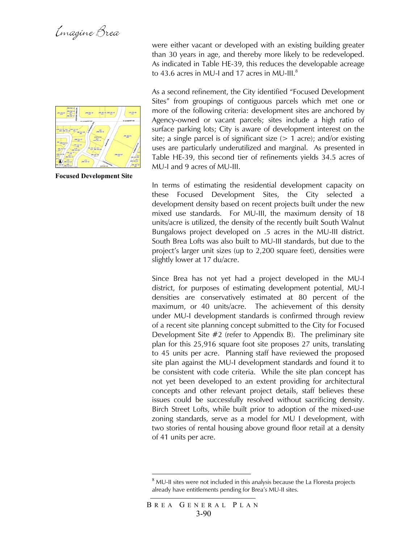

**Focused Development Site** 

were either vacant or developed with an existing building greater than 30 years in age, and thereby more likely to be redeveloped. As indicated in Table HE-39, this reduces the developable acreage to 43.6 acres in MU-I and 17 acres in MU-III. $^8$ 

As a second refinement, the City identified "Focused Development Sites" from groupings of contiguous parcels which met one or more of the following criteria: development sites are anchored by Agency-owned or vacant parcels; sites include a high ratio of surface parking lots; City is aware of development interest on the site; a single parcel is of significant size  $(> 1 \text{ acre})$ ; and/or existing uses are particularly underutilized and marginal. As presented in Table HE-39, this second tier of refinements yields 34.5 acres of MU-I and 9 acres of MU-III.

In terms of estimating the residential development capacity on these Focused Development Sites, the City selected a development density based on recent projects built under the new mixed use standards. For MU-III, the maximum density of 18 units/acre is utilized, the density of the recently built South Walnut Bungalows project developed on .5 acres in the MU-III district. South Brea Lofts was also built to MU-III standards, but due to the project's larger unit sizes (up to 2,200 square feet), densities were slightly lower at 17 du/acre.

Since Brea has not yet had a project developed in the MU-I district, for purposes of estimating development potential, MU-I densities are conservatively estimated at 80 percent of the maximum, or 40 units/acre. The achievement of this density under MU-I development standards is confirmed through review of a recent site planning concept submitted to the City for Focused Development Site #2 (refer to Appendix B). The preliminary site plan for this 25,916 square foot site proposes 27 units, translating to 45 units per acre. Planning staff have reviewed the proposed site plan against the MU-I development standards and found it to be consistent with code criteria. While the site plan concept has not yet been developed to an extent providing for architectural concepts and other relevant project details, staff believes these issues could be successfully resolved without sacrificing density. Birch Street Lofts, while built prior to adoption of the mixed-use zoning standards, serve as a model for MU I development, with two stories of rental housing above ground floor retail at a density of 41 units per acre.

 $\overline{a}$ 

 $8$  MU-II sites were not included in this analysis because the La Floresta projects already have entitlements pending for Brea's MU-II sites.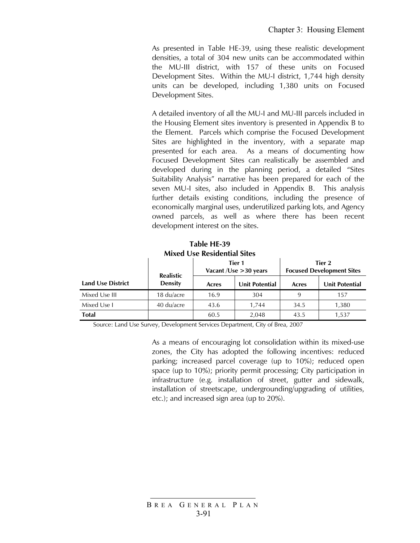As presented in Table HE-39, using these realistic development densities, a total of 304 new units can be accommodated within the MU-III district, with 157 of these units on Focused Development Sites. Within the MU-I district, 1,744 high density units can be developed, including 1,380 units on Focused Development Sites.

A detailed inventory of all the MU-I and MU-III parcels included in the Housing Element sites inventory is presented in Appendix B to the Element. Parcels which comprise the Focused Development Sites are highlighted in the inventory, with a separate map presented for each area. As a means of documenting how Focused Development Sites can realistically be assembled and developed during in the planning period, a detailed "Sites Suitability Analysis" narrative has been prepared for each of the seven MU-I sites, also included in Appendix B. This analysis further details existing conditions, including the presence of economically marginal uses, underutilized parking lots, and Agency owned parcels, as well as where there has been recent development interest on the sites.

| <b>Mixed Use Residential Sites</b> |                  |       |                                     |                                            |                       |  |  |  |
|------------------------------------|------------------|-------|-------------------------------------|--------------------------------------------|-----------------------|--|--|--|
|                                    | <b>Realistic</b> |       | Tier 1<br>Vacant / Use $>$ 30 years | Tier 2<br><b>Focused Development Sites</b> |                       |  |  |  |
| <b>Land Use District</b>           | <b>Density</b>   | Acres | <b>Unit Potential</b>               | Acres                                      | <b>Unit Potential</b> |  |  |  |
| Mixed Use III                      | 18 du/acre       | 16.9  | 304                                 | 9                                          | 157                   |  |  |  |
| Mixed Use I                        | 40 du/acre       | 43.6  | 1.744                               | 34.5                                       | 1,380                 |  |  |  |
| <b>Total</b>                       |                  | 60.5  | 2,048                               | 43.5                                       | 1,537                 |  |  |  |

**Table HE-39** 

Source: Land Use Survey, Development Services Department, City of Brea, 2007

As a means of encouraging lot consolidation within its mixed-use zones, the City has adopted the following incentives: reduced parking; increased parcel coverage (up to 10%); reduced open space (up to 10%); priority permit processing; City participation in infrastructure (e.g. installation of street, gutter and sidewalk, installation of streetscape, undergrounding/upgrading of utilities, etc.); and increased sign area (up to 20%).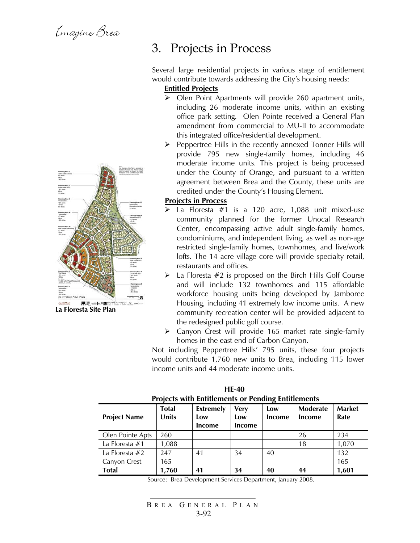

**La Floresta Site Plan**

### 3. Projects in Process

Several large residential projects in various stage of entitlement would contribute towards addressing the City's housing needs:

### **Entitled Projects**

- ¾ Olen Point Apartments will provide 260 apartment units, including 26 moderate income units, within an existing office park setting. Olen Pointe received a General Plan amendment from commercial to MU-II to accommodate this integrated office/residential development.
- $\triangleright$  Peppertree Hills in the recently annexed Tonner Hills will provide 795 new single-family homes, including 46 moderate income units. This project is being processed under the County of Orange, and pursuant to a written agreement between Brea and the County, these units are credited under the County's Housing Element.

#### **Projects in Process**

- La Floresta  $#1$  is a 120 acre, 1,088 unit mixed-use community planned for the former Unocal Research Center, encompassing active adult single-family homes, condominiums, and independent living, as well as non-age restricted single-family homes, townhomes, and live/work lofts. The 14 acre village core will provide specialty retail, restaurants and offices.
- $\triangleright$  La Floresta #2 is proposed on the Birch Hills Golf Course and will include 132 townhomes and 115 affordable workforce housing units being developed by Jamboree Housing, including 41 extremely low income units. A new community recreation center will be provided adjacent to the redesigned public golf course.
- $\triangleright$  Canyon Crest will provide 165 market rate single-family homes in the east end of Carbon Canyon.

Not including Peppertree Hills' 795 units, these four projects would contribute 1,760 new units to Brea, including 115 lower income units and 44 moderate income units.

| <b>Project Name</b> | <b>Total</b><br>Units | Projects with Entitlements or Pending Entitlements<br><b>Extremely</b><br>Low<br>Income | <b>Very</b><br>Low<br><b>Income</b> | Low<br>Income | Moderate<br>Income | <b>Market</b><br>Rate |
|---------------------|-----------------------|-----------------------------------------------------------------------------------------|-------------------------------------|---------------|--------------------|-----------------------|
| Olen Pointe Apts    | 260                   |                                                                                         |                                     |               | 26                 | 234                   |
| La Floresta $#1$    | 1,088                 |                                                                                         |                                     |               | 18                 | 1,070                 |
| La Floresta $#2$    | 247                   | 41                                                                                      | 34                                  | 40            |                    | 132                   |
| Canvon Crest        | 165                   |                                                                                         |                                     |               |                    | 165                   |
| <b>Total</b>        | 1,760                 | 41                                                                                      | 34                                  | 40            | 44                 | 1,601                 |

 **HE-40 Projects with Entitlements or Pending Entitlements**

Source: Brea Development Services Department, January 2008.

```
B REA G ENERAL P LAN
3-92
```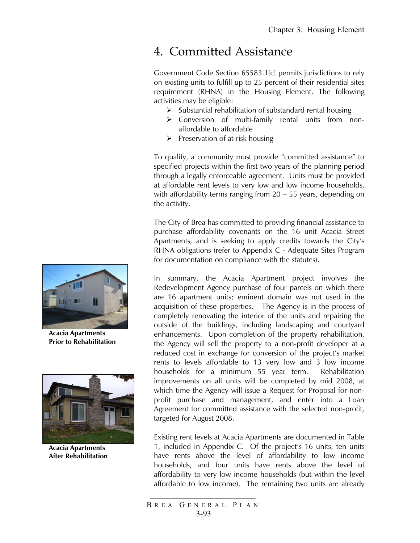### 4. Committed Assistance

Government Code Section 65583.1[c] permits jurisdictions to rely on existing units to fulfill up to 25 percent of their residential sites requirement (RHNA) in the Housing Element. The following activities may be eligible:

- $\triangleright$  Substantial rehabilitation of substandard rental housing
- ¾ Conversion of multi-family rental units from nonaffordable to affordable
- $\triangleright$  Preservation of at-risk housing

To qualify, a community must provide "committed assistance" to specified projects within the first two years of the planning period through a legally enforceable agreement. Units must be provided at affordable rent levels to very low and low income households, with affordability terms ranging from 20 – 55 years, depending on the activity.

The City of Brea has committed to providing financial assistance to purchase affordability covenants on the 16 unit Acacia Street Apartments, and is seeking to apply credits towards the City's RHNA obligations (refer to Appendix C - Adequate Sites Program for documentation on compliance with the statutes).

In summary, the Acacia Apartment project involves the Redevelopment Agency purchase of four parcels on which there are 16 apartment units; eminent domain was not used in the acquisition of these properties. The Agency is in the process of completely renovating the interior of the units and repairing the outside of the buildings, including landscaping and courtyard enhancements. Upon completion of the property rehabilitation, the Agency will sell the property to a non-profit developer at a reduced cost in exchange for conversion of the project's market rents to levels affordable to 13 very low and 3 low income households for a minimum 55 year term. Rehabilitation improvements on all units will be completed by mid 2008, at which time the Agency will issue a Request for Proposal for nonprofit purchase and management, and enter into a Loan Agreement for committed assistance with the selected non-profit, targeted for August 2008.

Existing rent levels at Acacia Apartments are documented in Table 1, included in Appendix C. Of the project's 16 units, ten units have rents above the level of affordability to low income households, and four units have rents above the level of affordability to very low income households (but within the level affordable to low income). The remaining two units are already



**Acacia Apartments Prior to Rehabilitation** 



**Acacia Apartments After Rehabilitation** 

B REA G ENERAL P LAN 3-93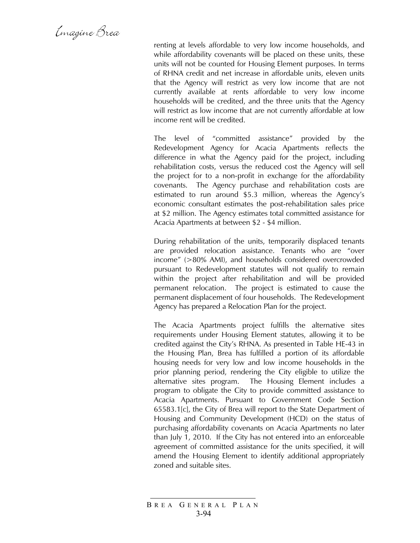Emagine Brea

renting at levels affordable to very low income households, and while affordability covenants will be placed on these units, these units will not be counted for Housing Element purposes. In terms of RHNA credit and net increase in affordable units, eleven units that the Agency will restrict as very low income that are not currently available at rents affordable to very low income households will be credited, and the three units that the Agency will restrict as low income that are not currently affordable at low income rent will be credited.

The level of "committed assistance" provided by the Redevelopment Agency for Acacia Apartments reflects the difference in what the Agency paid for the project, including rehabilitation costs, versus the reduced cost the Agency will sell the project for to a non-profit in exchange for the affordability covenants. The Agency purchase and rehabilitation costs are estimated to run around \$5.3 million, whereas the Agency's economic consultant estimates the post-rehabilitation sales price at \$2 million. The Agency estimates total committed assistance for Acacia Apartments at between \$2 - \$4 million.

During rehabilitation of the units, temporarily displaced tenants are provided relocation assistance. Tenants who are "over income" (>80% AMI), and households considered overcrowded pursuant to Redevelopment statutes will not qualify to remain within the project after rehabilitation and will be provided permanent relocation. The project is estimated to cause the permanent displacement of four households. The Redevelopment Agency has prepared a Relocation Plan for the project.

The Acacia Apartments project fulfills the alternative sites requirements under Housing Element statutes, allowing it to be credited against the City's RHNA. As presented in Table HE-43 in the Housing Plan, Brea has fulfilled a portion of its affordable housing needs for very low and low income households in the prior planning period, rendering the City eligible to utilize the alternative sites program. The Housing Element includes a program to obligate the City to provide committed assistance to Acacia Apartments. Pursuant to Government Code Section 65583.1[c], the City of Brea will report to the State Department of Housing and Community Development (HCD) on the status of purchasing affordability covenants on Acacia Apartments no later than July 1, 2010. If the City has not entered into an enforceable agreement of committed assistance for the units specified, it will amend the Housing Element to identify additional appropriately zoned and suitable sites.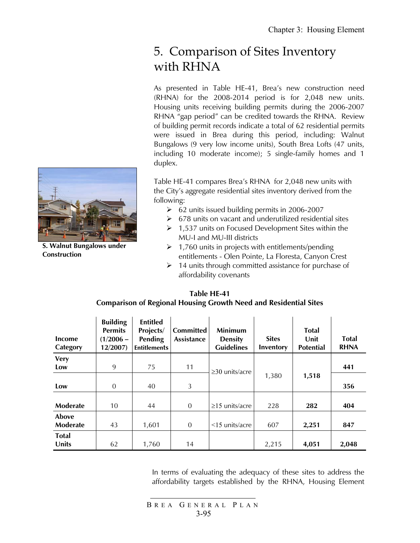# 5. Comparison of Sites Inventory with RHNA

As presented in Table HE-41, Brea's new construction need (RHNA) for the 2008-2014 period is for 2,048 new units. Housing units receiving building permits during the 2006-2007 RHNA "gap period" can be credited towards the RHNA. Review of building permit records indicate a total of 62 residential permits were issued in Brea during this period, including: Walnut Bungalows (9 very low income units), South Brea Lofts (47 units, including 10 moderate income); 5 single-family homes and 1 duplex.

Table HE-41 compares Brea's RHNA for 2,048 new units with the City's aggregate residential sites inventory derived from the following:

- $\geq$  62 units issued building permits in 2006-2007
- $\geq 678$  units on vacant and underutilized residential sites
- $\geq 1,537$  units on Focused Development Sites within the MU-I and MU-III districts
- $\geq 1,760$  units in projects with entitlements/pending entitlements - Olen Pointe, La Floresta, Canyon Crest
- $\geq 14$  units through committed assistance for purchase of affordability covenants

| <b>Income</b><br>Category | <b>Building</b><br><b>Permits</b><br>$(1/2006 -$<br>12/2007 | <b>Entitled</b><br>Projects/<br>Pending<br><b>Entitlements</b> | <b>Committed</b><br><b>Assistance</b> | <b>Minimum</b><br><b>Density</b><br><b>Guidelines</b> | <b>Sites</b><br>Inventory | <b>Total</b><br>Unit<br><b>Potential</b> | <b>Total</b><br><b>RHNA</b> |
|---------------------------|-------------------------------------------------------------|----------------------------------------------------------------|---------------------------------------|-------------------------------------------------------|---------------------------|------------------------------------------|-----------------------------|
| <b>Very</b>               |                                                             |                                                                |                                       |                                                       |                           |                                          |                             |
| Low                       | 9                                                           | 75                                                             | 11                                    | $\geq$ 30 units/acre                                  |                           |                                          | 441                         |
|                           |                                                             |                                                                |                                       |                                                       | 1,380                     | 1,518                                    |                             |
| Low                       | $\overline{0}$                                              | 40                                                             | 3                                     |                                                       |                           |                                          | 356                         |
|                           |                                                             |                                                                |                                       |                                                       |                           |                                          |                             |
| Moderate                  | 10                                                          | 44                                                             | $\overline{0}$                        | $\geq$ 15 units/acre                                  | 228                       | 282                                      | 404                         |
| Above                     |                                                             |                                                                |                                       |                                                       |                           |                                          |                             |
| Moderate                  | 43                                                          | 1,601                                                          | $\overline{0}$                        | $<$ 15 units/acre                                     | 607                       | 2,251                                    | 847                         |
| <b>Total</b>              |                                                             |                                                                |                                       |                                                       |                           |                                          |                             |
| <b>Units</b>              | 62                                                          | 1,760                                                          | 14                                    |                                                       | 2,215                     | 4,051                                    | 2,048                       |

#### **Table HE-41 Comparison of Regional Housing Growth Need and Residential Sites**

In terms of evaluating the adequacy of these sites to address the affordability targets established by the RHNA, Housing Element



**S. Walnut Bungalows under Construction**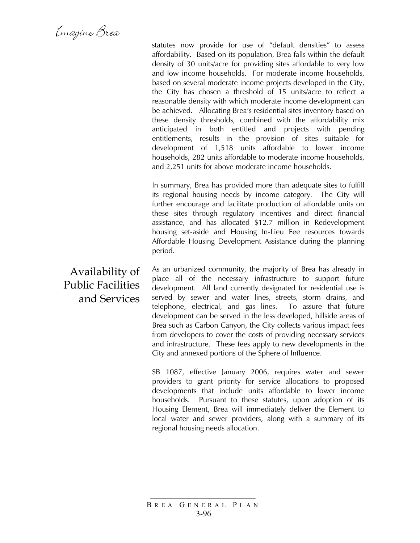statutes now provide for use of "default densities" to assess affordability. Based on its population, Brea falls within the default density of 30 units/acre for providing sites affordable to very low and low income households. For moderate income households, based on several moderate income projects developed in the City, the City has chosen a threshold of 15 units/acre to reflect a reasonable density with which moderate income development can be achieved. Allocating Brea's residential sites inventory based on these density thresholds, combined with the affordability mix anticipated in both entitled and projects with pending entitlements, results in the provision of sites suitable for development of 1,518 units affordable to lower income households, 282 units affordable to moderate income households, and 2,251 units for above moderate income households.

In summary, Brea has provided more than adequate sites to fulfill its regional housing needs by income category. The City will further encourage and facilitate production of affordable units on these sites through regulatory incentives and direct financial assistance, and has allocated \$12.7 million in Redevelopment housing set-aside and Housing In-Lieu Fee resources towards Affordable Housing Development Assistance during the planning period.

As an urbanized community, the majority of Brea has already in place all of the necessary infrastructure to support future development. All land currently designated for residential use is served by sewer and water lines, streets, storm drains, and telephone, electrical, and gas lines. To assure that future development can be served in the less developed, hillside areas of Brea such as Carbon Canyon, the City collects various impact fees from developers to cover the costs of providing necessary services and infrastructure. These fees apply to new developments in the City and annexed portions of the Sphere of Influence.

SB 1087, effective January 2006, requires water and sewer providers to grant priority for service allocations to proposed developments that include units affordable to lower income households. Pursuant to these statutes, upon adoption of its Housing Element, Brea will immediately deliver the Element to local water and sewer providers, along with a summary of its regional housing needs allocation.

Availability of Public Facilities and Services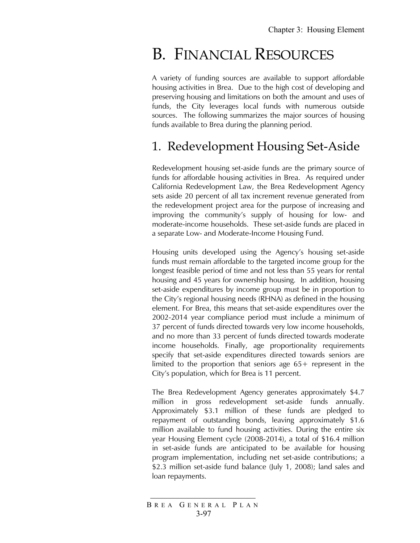# B. FINANCIAL RESOURCES

A variety of funding sources are available to support affordable housing activities in Brea. Due to the high cost of developing and preserving housing and limitations on both the amount and uses of funds, the City leverages local funds with numerous outside sources. The following summarizes the major sources of housing funds available to Brea during the planning period.

# 1. Redevelopment Housing Set-Aside

Redevelopment housing set-aside funds are the primary source of funds for affordable housing activities in Brea. As required under California Redevelopment Law, the Brea Redevelopment Agency sets aside 20 percent of all tax increment revenue generated from the redevelopment project area for the purpose of increasing and improving the community's supply of housing for low- and moderate-income households. These set-aside funds are placed in a separate Low- and Moderate-Income Housing Fund.

Housing units developed using the Agency's housing set-aside funds must remain affordable to the targeted income group for the longest feasible period of time and not less than 55 years for rental housing and 45 years for ownership housing. In addition, housing set-aside expenditures by income group must be in proportion to the City's regional housing needs (RHNA) as defined in the housing element. For Brea, this means that set-aside expenditures over the 2002-2014 year compliance period must include a minimum of 37 percent of funds directed towards very low income households, and no more than 33 percent of funds directed towards moderate income households. Finally, age proportionality requirements specify that set-aside expenditures directed towards seniors are limited to the proportion that seniors age 65+ represent in the City's population, which for Brea is 11 percent.

The Brea Redevelopment Agency generates approximately \$4.7 million in gross redevelopment set-aside funds annually. Approximately \$3.1 million of these funds are pledged to repayment of outstanding bonds, leaving approximately \$1.6 million available to fund housing activities. During the entire six year Housing Element cycle (2008-2014), a total of \$16.4 million in set-aside funds are anticipated to be available for housing program implementation, including net set-aside contributions; a \$2.3 million set-aside fund balance (July 1, 2008); land sales and loan repayments.

B REA G ENERAL P LAN 3-97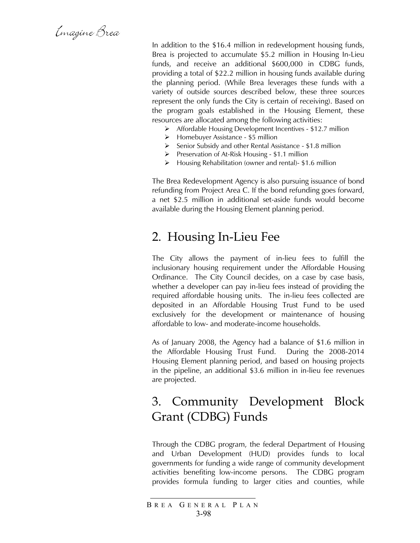Emagine Brea

In addition to the \$16.4 million in redevelopment housing funds, Brea is projected to accumulate \$5.2 million in Housing In-Lieu funds, and receive an additional \$600,000 in CDBG funds, providing a total of \$22.2 million in housing funds available during the planning period. (While Brea leverages these funds with a variety of outside sources described below, these three sources represent the only funds the City is certain of receiving). Based on the program goals established in the Housing Element, these resources are allocated among the following activities:

- ¾ Affordable Housing Development Incentives \$12.7 million
- $\triangleright$  Homebuyer Assistance \$5 million
- ¾ Senior Subsidy and other Rental Assistance \$1.8 million
- $\triangleright$  Preservation of At-Risk Housing \$1.1 million
- ¾ Housing Rehabilitation (owner and rental)- \$1.6 million

The Brea Redevelopment Agency is also pursuing issuance of bond refunding from Project Area C. If the bond refunding goes forward, a net \$2.5 million in additional set-aside funds would become available during the Housing Element planning period.

### 2. Housing In-Lieu Fee

The City allows the payment of in-lieu fees to fulfill the inclusionary housing requirement under the Affordable Housing Ordinance. The City Council decides, on a case by case basis, whether a developer can pay in-lieu fees instead of providing the required affordable housing units. The in-lieu fees collected are deposited in an Affordable Housing Trust Fund to be used exclusively for the development or maintenance of housing affordable to low- and moderate-income households.

As of January 2008, the Agency had a balance of \$1.6 million in the Affordable Housing Trust Fund. During the 2008-2014 Housing Element planning period, and based on housing projects in the pipeline, an additional \$3.6 million in in-lieu fee revenues are projected.

### 3. Community Development Block Grant (CDBG) Funds

Through the CDBG program, the federal Department of Housing and Urban Development (HUD) provides funds to local governments for funding a wide range of community development activities benefiting low-income persons. The CDBG program provides formula funding to larger cities and counties, while

B REA G ENERAL P LAN 3-98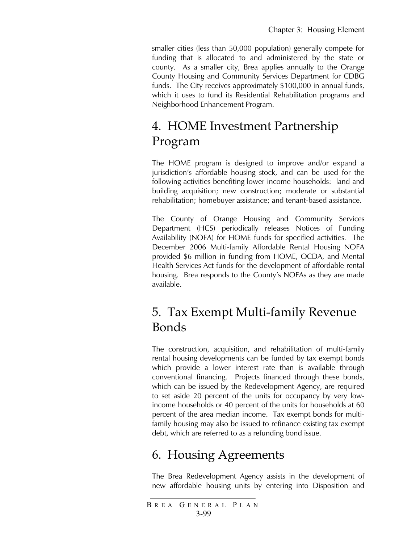smaller cities (less than 50,000 population) generally compete for funding that is allocated to and administered by the state or county. As a smaller city, Brea applies annually to the Orange County Housing and Community Services Department for CDBG funds. The City receives approximately \$100,000 in annual funds, which it uses to fund its Residential Rehabilitation programs and Neighborhood Enhancement Program.

# 4. HOME Investment Partnership Program

The HOME program is designed to improve and/or expand a jurisdiction's affordable housing stock, and can be used for the following activities benefiting lower income households: land and building acquisition; new construction; moderate or substantial rehabilitation; homebuyer assistance; and tenant-based assistance.

The County of Orange Housing and Community Services Department (HCS) periodically releases Notices of Funding Availability (NOFA) for HOME funds for specified activities. The December 2006 Multi-family Affordable Rental Housing NOFA provided \$6 million in funding from HOME, OCDA, and Mental Health Services Act funds for the development of affordable rental housing. Brea responds to the County's NOFAs as they are made available.

# 5. Tax Exempt Multi-family Revenue Bonds

The construction, acquisition, and rehabilitation of multi-family rental housing developments can be funded by tax exempt bonds which provide a lower interest rate than is available through conventional financing. Projects financed through these bonds, which can be issued by the Redevelopment Agency, are required to set aside 20 percent of the units for occupancy by very lowincome households or 40 percent of the units for households at 60 percent of the area median income. Tax exempt bonds for multifamily housing may also be issued to refinance existing tax exempt debt, which are referred to as a refunding bond issue.

# 6. Housing Agreements

The Brea Redevelopment Agency assists in the development of new affordable housing units by entering into Disposition and

B REA G ENERAL P LAN 3-99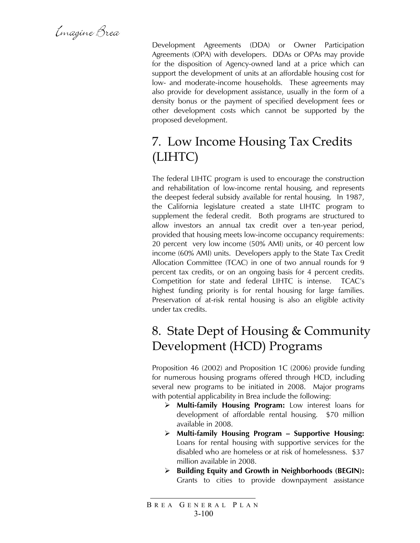Emagine Brea

Development Agreements (DDA) or Owner Participation Agreements (OPA) with developers. DDAs or OPAs may provide for the disposition of Agency-owned land at a price which can support the development of units at an affordable housing cost for low- and moderate-income households. These agreements may also provide for development assistance, usually in the form of a density bonus or the payment of specified development fees or other development costs which cannot be supported by the proposed development.

# 7. Low Income Housing Tax Credits (LIHTC)

The federal LIHTC program is used to encourage the construction and rehabilitation of low-income rental housing, and represents the deepest federal subsidy available for rental housing. In 1987, the California legislature created a state LIHTC program to supplement the federal credit. Both programs are structured to allow investors an annual tax credit over a ten-year period, provided that housing meets low-income occupancy requirements: 20 percent very low income (50% AMI) units, or 40 percent low income (60% AMI) units. Developers apply to the State Tax Credit Allocation Committee (TCAC) in one of two annual rounds for 9 percent tax credits, or on an ongoing basis for 4 percent credits. Competition for state and federal LIHTC is intense. TCAC's highest funding priority is for rental housing for large families. Preservation of at-risk rental housing is also an eligible activity under tax credits.

# 8. State Dept of Housing & Community Development (HCD) Programs

Proposition 46 (2002) and Proposition 1C (2006) provide funding for numerous housing programs offered through HCD, including several new programs to be initiated in 2008. Major programs with potential applicability in Brea include the following:

- ¾ **Multi-family Housing Program:** Low interest loans for development of affordable rental housing. \$70 million available in 2008.
- ¾ **Multi-family Housing Program Supportive Housing:**  Loans for rental housing with supportive services for the disabled who are homeless or at risk of homelessness. \$37 million available in 2008.
- ¾ **Building Equity and Growth in Neighborhoods (BEGIN):** Grants to cities to provide downpayment assistance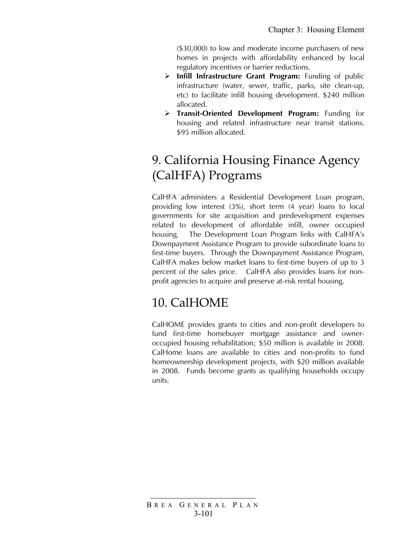(\$30,000) to low and moderate income purchasers of new homes in projects with affordability enhanced by local regulatory incentives or barrier reductions.

- ¾ **Infill Infrastructure Grant Program:** Funding of public infrastructure (water, sewer, traffic, parks, site clean-up, etc) to facilitate infill housing development. \$240 million allocated.
- ¾ **Transit-Oriented Development Program:** Funding for housing and related infrastructure near transit stations. \$95 million allocated.

# 9. California Housing Finance Agency (CalHFA) Programs

CalHFA administers a Residential Development Loan program, providing low interest (3%), short term (4 year) loans to local governments for site acquisition and predevelopment expenses related to development of affordable infill, owner occupied housing. The Development Loan Program links with CalHFA's Downpayment Assistance Program to provide subordinate loans to first-time buyers. Through the Downpayment Assistance Program, CalHFA makes below market loans to first-time buyers of up to 3 percent of the sales price. CalHFA also provides loans for nonprofit agencies to acquire and preserve at-risk rental housing.

# 10. CalHOME

CalHOME provides grants to cities and non-profit developers to fund first-time homebuyer mortgage assistance and owneroccupied housing rehabilitation; \$50 million is available in 2008. CalHome loans are available to cities and non-profits to fund homeownership development projects, with \$20 million available in 2008. Funds become grants as qualifying households occupy units.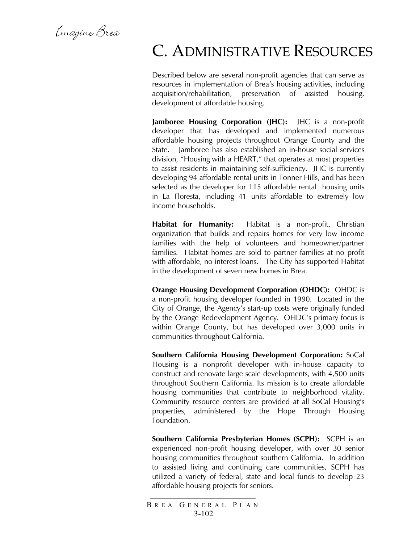Emagine Brea

# C. ADMINISTRATIVE RESOURCES

Described below are several non-profit agencies that can serve as resources in implementation of Brea's housing activities, including acquisition/rehabilitation, preservation of assisted housing, development of affordable housing.

**Jamboree Housing Corporation (JHC):** JHC is a non-profit developer that has developed and implemented numerous affordable housing projects throughout Orange County and the State. Jamboree has also established an in-house social services division, "Housing with a HEART," that operates at most properties to assist residents in maintaining self-sufficiency. JHC is currently developing 94 affordable rental units in Tonner Hills, and has been selected as the developer for 115 affordable rental housing units in La Floresta, including 41 units affordable to extremely low income households.

**Habitat for Humanity:** Habitat is a non-profit, Christian organization that builds and repairs homes for very low income families with the help of volunteers and homeowner/partner families. Habitat homes are sold to partner families at no profit with affordable, no interest loans. The City has supported Habitat in the development of seven new homes in Brea.

**Orange Housing Development Corporation (OHDC):** OHDC is a non-profit housing developer founded in 1990. Located in the City of Orange, the Agency's start-up costs were originally funded by the Orange Redevelopment Agency. OHDC's primary focus is within Orange County, but has developed over 3,000 units in communities throughout California.

**Southern California Housing Development Corporation:** SoCal Housing is a nonprofit developer with in-house capacity to construct and renovate large scale developments, with 4,500 units throughout Southern California. Its mission is to create affordable housing communities that contribute to neighborhood vitality. Community resource centers are provided at all SoCal Housing's properties, administered by the Hope Through Housing Foundation.

**Southern California Presbyterian Homes (SCPH):** SCPH is an experienced non-profit housing developer, with over 30 senior housing communities throughout southern California. In addition to assisted living and continuing care communities, SCPH has utilized a variety of federal, state and local funds to develop 23 affordable housing projects for seniors.

B REA G ENERAL P LAN 3-102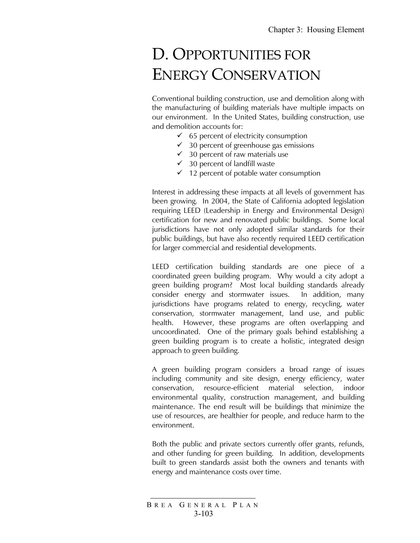# D. OPPORTUNITIES FOR ENERGY CONSERVATION

Conventional building construction, use and demolition along with the manufacturing of building materials have multiple impacts on our environment. In the United States, building construction, use and demolition accounts for:

- $\checkmark$  65 percent of electricity consumption
- $\checkmark$  30 percent of greenhouse gas emissions
- $\checkmark$  30 percent of raw materials use
- $\checkmark$  30 percent of landfill waste
- $\checkmark$  12 percent of potable water consumption

Interest in addressing these impacts at all levels of government has been growing. In 2004, the State of California adopted legislation requiring LEED (Leadership in Energy and Environmental Design) certification for new and renovated public buildings. Some local jurisdictions have not only adopted similar standards for their public buildings, but have also recently required LEED certification for larger commercial and residential developments.

LEED certification building standards are one piece of a coordinated green building program. Why would a city adopt a green building program? Most local building standards already consider energy and stormwater issues. In addition, many jurisdictions have programs related to energy, recycling, water conservation, stormwater management, land use, and public health. However, these programs are often overlapping and uncoordinated. One of the primary goals behind establishing a green building program is to create a holistic, integrated design approach to green building.

A green building program considers a broad range of issues including community and site design, energy efficiency, water conservation, resource-efficient material selection, indoor environmental quality, construction management, and building maintenance. The end result will be buildings that minimize the use of resources, are healthier for people, and reduce harm to the environment.

Both the public and private sectors currently offer grants, refunds, and other funding for green building. In addition, developments built to green standards assist both the owners and tenants with energy and maintenance costs over time.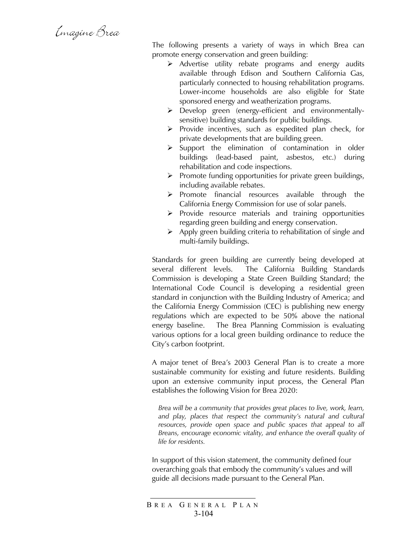Emagine Brea

The following presents a variety of ways in which Brea can promote energy conservation and green building:

- $\triangleright$  Advertise utility rebate programs and energy audits available through Edison and Southern California Gas, particularly connected to housing rehabilitation programs. Lower-income households are also eligible for State sponsored energy and weatherization programs.
- ¾ Develop green (energy-efficient and environmentallysensitive) building standards for public buildings.
- $\triangleright$  Provide incentives, such as expedited plan check, for private developments that are building green.
- $\triangleright$  Support the elimination of contamination in older buildings (lead-based paint, asbestos, etc.) during rehabilitation and code inspections.
- $\triangleright$  Promote funding opportunities for private green buildings, including available rebates.
- $\triangleright$  Promote financial resources available through the California Energy Commission for use of solar panels.
- $\triangleright$  Provide resource materials and training opportunities regarding green building and energy conservation.
- $\triangleright$  Apply green building criteria to rehabilitation of single and multi-family buildings.

Standards for green building are currently being developed at several different levels. The California Building Standards Commission is developing a State Green Building Standard; the International Code Council is developing a residential green standard in conjunction with the Building Industry of America; and the California Energy Commission (CEC) is publishing new energy regulations which are expected to be 50% above the national energy baseline. The Brea Planning Commission is evaluating various options for a local green building ordinance to reduce the City's carbon footprint.

A major tenet of Brea's 2003 General Plan is to create a more sustainable community for existing and future residents. Building upon an extensive community input process, the General Plan establishes the following Vision for Brea 2020:

*Brea will be a community that provides great places to live, work, learn, and play, places that respect the community's natural and cultural*  resources, provide open space and public spaces that appeal to all *Breans, encourage economic vitality, and enhance the overall quality of life for residents.* 

In support of this vision statement, the community defined four overarching goals that embody the community's values and will guide all decisions made pursuant to the General Plan.

B REA G ENERAL P LAN 3-104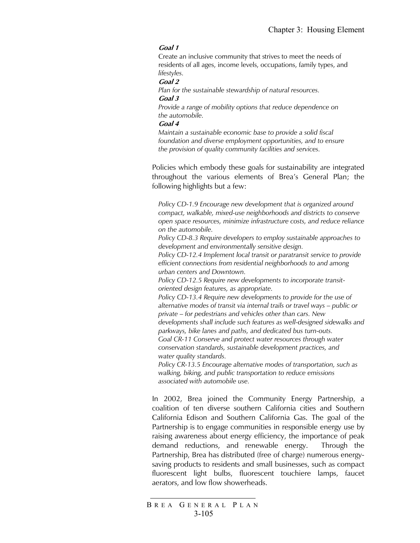#### **Goal 1**

Create an inclusive community that strives to meet the needs of residents of all ages, income levels, occupations, family types, and *lifestyles.* 

#### **Goal 2**

*Plan for the sustainable stewardship of natural resources.*  **Goal 3** 

*Provide a range of mobility options that reduce dependence on the automobile.* 

#### **Goal 4**

*Maintain a sustainable economic base to provide a solid fiscal foundation and diverse employment opportunities, and to ensure the provision of quality community facilities and services.* 

Policies which embody these goals for sustainability are integrated throughout the various elements of Brea's General Plan; the following highlights but a few:

*Policy CD-1.9 Encourage new development that is organized around compact, walkable, mixed-use neighborhoods and districts to conserve open space resources, minimize infrastructure costs, and reduce reliance on the automobile.* 

*Policy CD-8.3 Require developers to employ sustainable approaches to development and environmentally sensitive design.* 

*Policy CD-12.4 Implement local transit or paratransit service to provide efficient connections from residential neighborhoods to and among urban centers and Downtown.* 

*Policy CD-12.5 Require new developments to incorporate transitoriented design features, as appropriate.* 

*Policy CD-13.4 Require new developments to provide for the use of alternative modes of transit via internal trails or travel ways – public or private – for pedestrians and vehicles other than cars. New developments shall include such features as well-designed sidewalks and parkways, bike lanes and paths, and dedicated bus turn-outs. Goal CR-11 Conserve and protect water resources through water* 

*conservation standards, sustainable development practices, and water quality standards.* 

*Policy CR-13.5 Encourage alternative modes of transportation, such as walking, biking, and public transportation to reduce emissions associated with automobile use.* 

In 2002, Brea joined the Community Energy Partnership, a coalition of ten diverse southern California cities and Southern California Edison and Southern California Gas. The goal of the Partnership is to engage communities in responsible energy use by raising awareness about energy efficiency, the importance of peak demand reductions, and renewable energy. Through the Partnership, Brea has distributed (free of charge) numerous energysaving products to residents and small businesses, such as compact fluorescent light bulbs, fluorescent touchiere lamps, faucet aerators, and low flow showerheads.

B REA G ENERAL P LAN 3-105